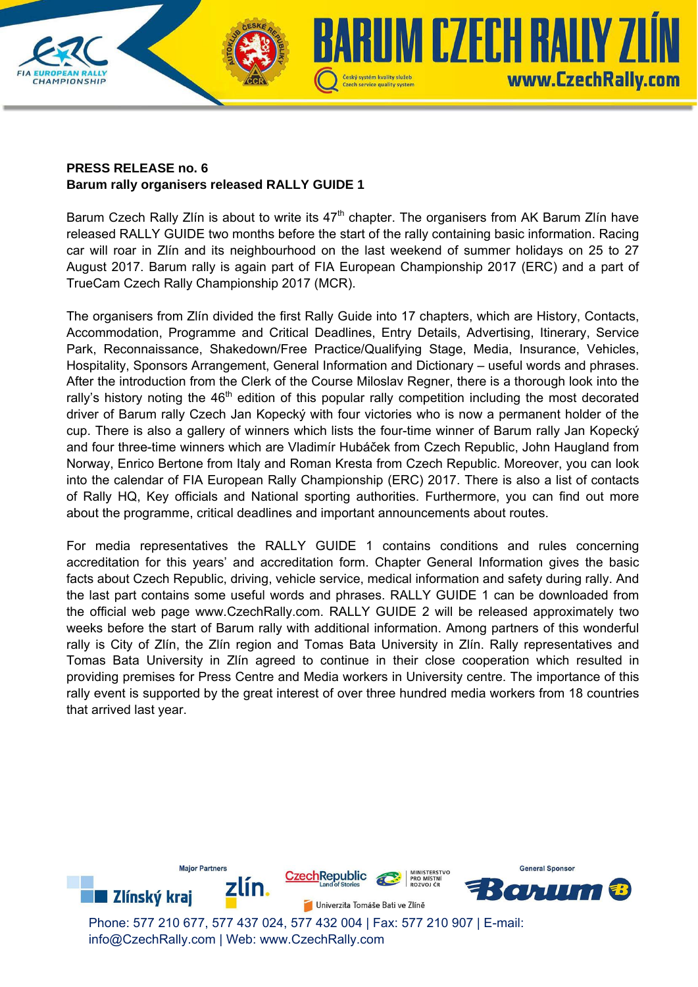## **PRESS RELEASE no. 6 Barum rally organisers released RALLY GUIDE 1**

CHAMPIONSHIP

Barum Czech Rally Zlín is about to write its  $47<sup>th</sup>$  chapter. The organisers from AK Barum Zlín have released RALLY GUIDE two months before the start of the rally containing basic information. Racing car will roar in Zlín and its neighbourhood on the last weekend of summer holidays on 25 to 27 August 2017. Barum rally is again part of FIA European Championship 2017 (ERC) and a part of TrueCam Czech Rally Championship 2017 (MCR).

Czech service quality system

UM CZECH RALIY ZI

www.CzechRally.com

The organisers from Zlín divided the first Rally Guide into 17 chapters, which are History, Contacts, Accommodation, Programme and Critical Deadlines, Entry Details, Advertising, Itinerary, Service Park, Reconnaissance, Shakedown/Free Practice/Qualifying Stage, Media, Insurance, Vehicles, Hospitality, Sponsors Arrangement, General Information and Dictionary – useful words and phrases. After the introduction from the Clerk of the Course Miloslav Regner, there is a thorough look into the rally's history noting the 46<sup>th</sup> edition of this popular rally competition including the most decorated driver of Barum rally Czech Jan Kopecký with four victories who is now a permanent holder of the cup. There is also a gallery of winners which lists the four-time winner of Barum rally Jan Kopecký and four three-time winners which are Vladimír Hubáček from Czech Republic, John Haugland from Norway, Enrico Bertone from Italy and Roman Kresta from Czech Republic. Moreover, you can look into the calendar of FIA European Rally Championship (ERC) 2017. There is also a list of contacts of Rally HQ, Key officials and National sporting authorities. Furthermore, you can find out more about the programme, critical deadlines and important announcements about routes.

For media representatives the RALLY GUIDE 1 contains conditions and rules concerning accreditation for this years' and accreditation form. Chapter General Information gives the basic facts about Czech Republic, driving, vehicle service, medical information and safety during rally. And the last part contains some useful words and phrases. RALLY GUIDE 1 can be downloaded from the official web page www.CzechRally.com. RALLY GUIDE 2 will be released approximately two weeks before the start of Barum rally with additional information. Among partners of this wonderful rally is City of Zlín, the Zlín region and Tomas Bata University in Zlín. Rally representatives and Tomas Bata University in Zlín agreed to continue in their close cooperation which resulted in providing premises for Press Centre and Media workers in University centre. The importance of this rally event is supported by the great interest of over three hundred media workers from 18 countries that arrived last year.